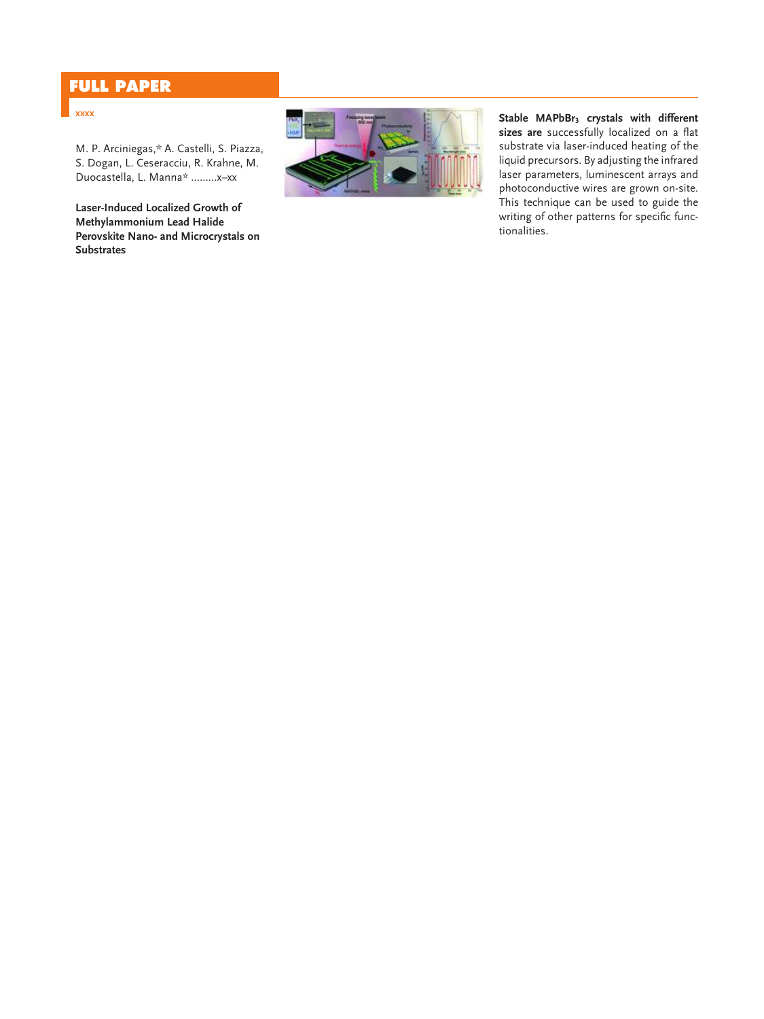# **FULL PAPER**

### **xxxx**

M. P. Arciniegas,\* A. Castelli, S. Piazza, S. Dogan, L. Ceseracciu, R. Krahne, M. Duocastella, L. Manna\* .........x–xx

**Laser-Induced Localized Growth of Methylammonium Lead Halide Perovskite Nano- and Microcrystals on Substrates**



**Stable MAPbBr <sup>3</sup> crystals with different** sizes are successfully localized on a flat substrate via laser-induced heating of the liquid precursors. By adjusting the infrared laser parameters, luminescent arrays and photoconductive wires are grown on-site. This technique can be used to guide the writing of other patterns for specific functionalities.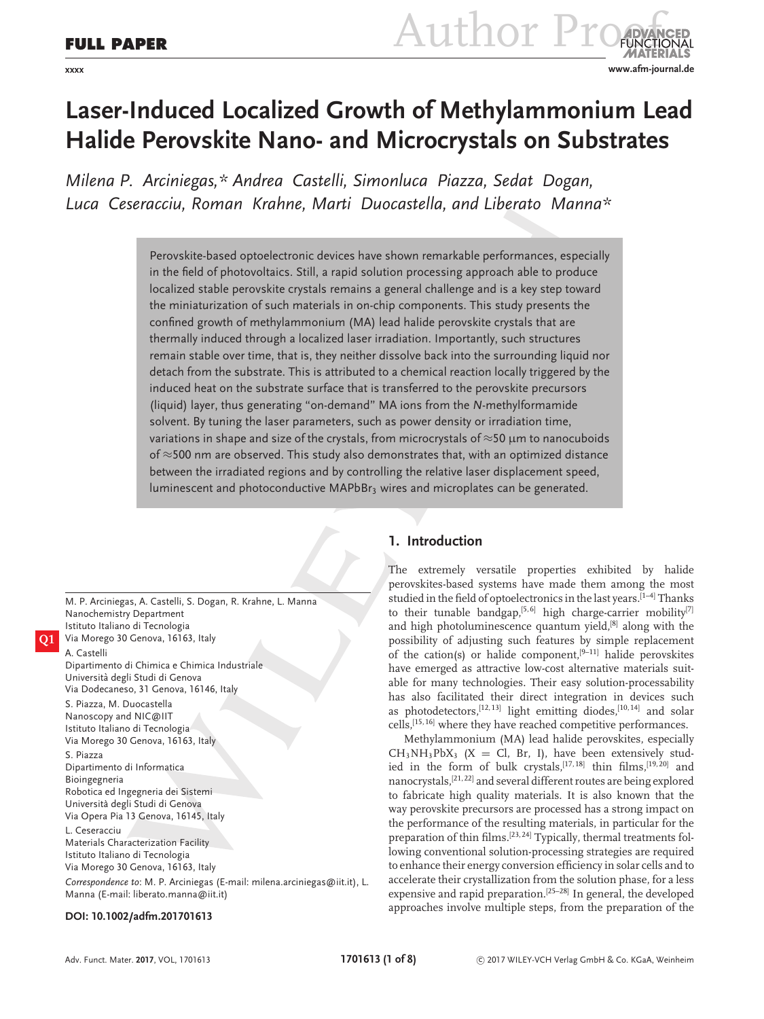# FULL PAPER Author Pro **xxxx www.afm-journal.de**

# **Laser-Induced Localized Growth of Methylammonium Lead Halide Perovskite Nano- and Microcrystals on Substrates**

*Milena P. Arciniegas,\* Andrea Castelli, Simonluca Piazza, Sedat Dogan, Luca Ceseracciu, Roman Krahne, Marti Duocastella, and Liberato Manna\**

> Perovskite-based optoelectronic devices have shown remarkable performances, especially in the field of photovoltaics. Still, a rapid solution processing approach able to produce localized stable perovskite crystals remains a general challenge and is a key step toward the miniaturization of such materials in on-chip components. This study presents the confined growth of methylammonium (MA) lead halide perovskite crystals that are thermally induced through a localized laser irradiation. Importantly, such structures remain stable over time, that is, they neither dissolve back into the surrounding liquid nor detach from the substrate. This is attributed to a chemical reaction locally triggered by the induced heat on the substrate surface that is transferred to the perovskite precursors (liquid) layer, thus generating "on-demand" MA ions from the *N*-methylformamide solvent. By tuning the laser parameters, such as power density or irradiation time, variations in shape and size of the crystals, from microcrystals of  $\approx$ 50  $\mu$ m to nanocuboids of ≈500 nm are observed. This study also demonstrates that, with an optimized distance between the irradiated regions and by controlling the relative laser displacement speed, luminescent and photoconductive MAPbBr<sub>3</sub> wires and microplates can be generated.

M. P. Arciniegas, A. Castelli, S. Dogan, R. Krahne, L. Manna Nanochemistry Department Istituto Italiano di Tecnologia **Q1** Via Morego 30 Genova, 16163, Italy A. Castelli Dipartimento di Chimica e Chimica Industriale Universita degli Studi di Genova ` Via Dodecaneso, 31 Genova, 16146, Italy S. Piazza, M. Duocastella Nanoscopy and NIC@IIT Istituto Italiano di Tecnologia Via Morego 30 Genova, 16163, Italy S. Piazza Dipartimento di Informatica Bioingegneria Robotica ed Ingegneria dei Sistemi Universita degli Studi di Genova ` Via Opera Pia 13 Genova, 16145, Italy L. Ceseracciu Materials Characterization Facility Istituto Italiano di Tecnologia Via Morego 30 Genova, 16163, Italy *Correspondence to*: M. P. Arciniegas (E-mail: [milena.arciniegas@iit.it\)](mailto:milena.arciniegas@iit.it), L. Manna (E-mail: [liberato.manna@iit.it\)](mailto:liberato.manna@iit.it)

## **1. Introduction**

The extremely versatile properties exhibited by halide perovskites-based systems have made them among the most studied in the field of optoelectronics in the last years.<sup>[1-4]</sup> Thanks to their tunable bandgap,<sup>[5, 6]</sup> high charge-carrier mobility<sup>[7]</sup> and high photoluminescence quantum yield, $[8]$  along with the possibility of adjusting such features by simple replacement of the cation(s) or halide component,<sup>[9–11]</sup> halide perovskites have emerged as attractive low-cost alternative materials suitable for many technologies. Their easy solution-processability has also facilitated their direct integration in devices such as photodetectors,<sup>[12, 13]</sup> light emitting diodes,<sup>[10, 14]</sup> and solar cells,[15, 16] where they have reached competitive performances.

Methylammonium (MA) lead halide perovskites, especially  $CH_3NH_3PbX_3$  (X = Cl, Br, I), have been extensively studied in the form of bulk crystals,  $[17, 18]$  thin films,  $[19, 20]$  and nanocrystals,[21, 22] and several different routes are being explored to fabricate high quality materials. It is also known that the way perovskite precursors are processed has a strong impact on the performance of the resulting materials, in particular for the preparation of thin films.[23, 24] Typically, thermal treatments following conventional solution-processing strategies are required to enhance their energy conversion efficiency in solar cells and to accelerate their crystallization from the solution phase, for a less expensive and rapid preparation.[25–28] In general, the developed approaches involve multiple steps, from the preparation of the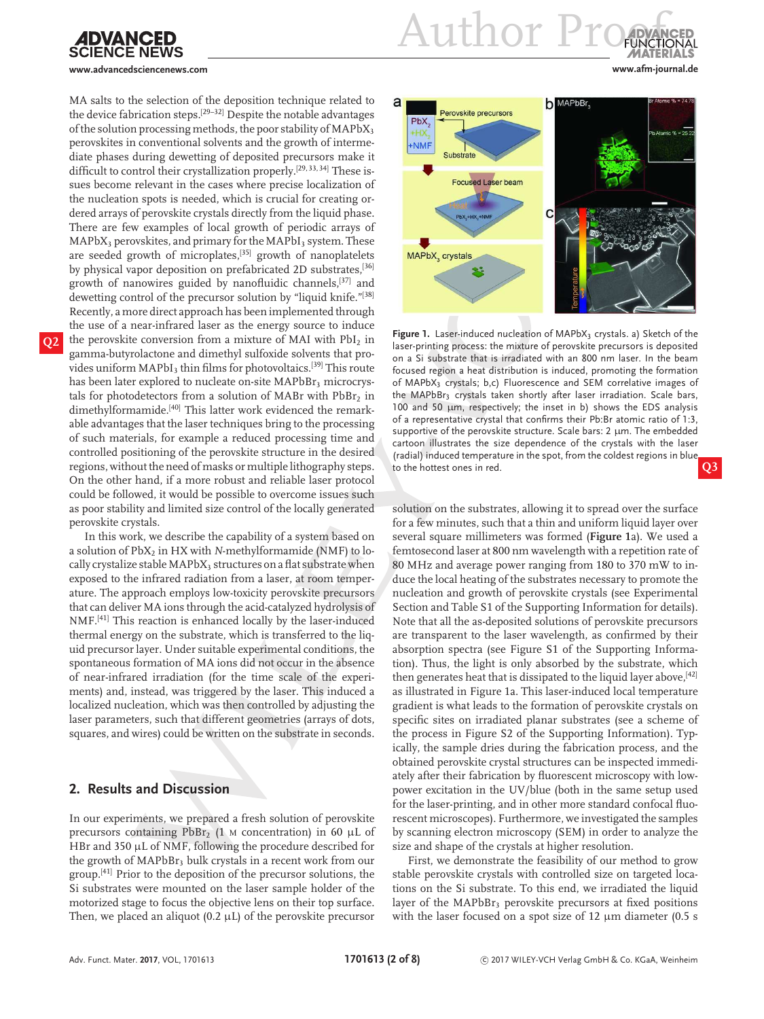

**www.advancedsciencenews.com www.afm-journal.de**

MA salts to the selection of the deposition technique related to the device fabrication steps.[29–32] Despite the notable advantages of the solution processing methods, the poor stability of  $MAPbX<sub>3</sub>$ perovskites in conventional solvents and the growth of intermediate phases during dewetting of deposited precursors make it difficult to control their crystallization properly.<sup>[29, 33, 34]</sup> These issues become relevant in the cases where precise localization of the nucleation spots is needed, which is crucial for creating ordered arrays of perovskite crystals directly from the liquid phase. There are few examples of local growth of periodic arrays of  $MAPbX<sub>3</sub>$  perovskites, and primary for the MAPbI<sub>3</sub> system. These are seeded growth of microplates,[35] growth of nanoplatelets by physical vapor deposition on prefabricated 2D substrates,[36] growth of nanowires guided by nanofluidic channels,[37] and dewetting control of the precursor solution by "liquid knife."[38] Recently, a more direct approach has been implemented through the use of a near-infrared laser as the energy source to induce the perovskite conversion from a mixture of MAI with PbI<sub>2</sub> in gamma-butyrolactone and dimethyl sulfoxide solvents that provides uniform MAPbI<sub>3</sub> thin films for photovoltaics.<sup>[39]</sup> This route has been later explored to nucleate on-site MAPbBr<sub>3</sub> microcrystals for photodetectors from a solution of MABr with  $PbBr<sub>2</sub>$  in dimethylformamide.<sup>[40]</sup> This latter work evidenced the remarkable advantages that the laser techniques bring to the processing of such materials, for example a reduced processing time and controlled positioning of the perovskite structure in the desired regions, without the need of masks or multiple lithography steps. On the other hand, if a more robust and reliable laser protocol could be followed, it would be possible to overcome issues such as poor stability and limited size control of the locally generated perovskite crystals.

In this work, we describe the capability of a system based on a solution of PbX<sub>2</sub> in HX with *N*-methylformamide (NMF) to locally crystalize stable MAPbX<sub>3</sub> structures on a flat substrate when exposed to the infrared radiation from a laser, at room temperature. The approach employs low-toxicity perovskite precursors that can deliver MA ions through the acid-catalyzed hydrolysis of NMF.[41] This reaction is enhanced locally by the laser-induced thermal energy on the substrate, which is transferred to the liquid precursor layer. Under suitable experimental conditions, the spontaneous formation of MA ions did not occur in the absence of near-infrared irradiation (for the time scale of the experiments) and, instead, was triggered by the laser. This induced a localized nucleation, which was then controlled by adjusting the laser parameters, such that different geometries (arrays of dots, squares, and wires) could be written on the substrate in seconds.

### **2. Results and Discussion**

In our experiments, we prepared a fresh solution of perovskite precursors containing  $PbBr_2$  (1 M concentration) in 60 µL of HBr and 350 µL of NMF, following the procedure described for the growth of MAPbBr<sub>3</sub> bulk crystals in a recent work from our group.[41] Prior to the deposition of the precursor solutions, the Si substrates were mounted on the laser sample holder of the motorized stage to focus the objective lens on their top surface. Then, we placed an aliquot (0.2  $\mu$ L) of the perovskite precursor



Figure 1. Laser-induced nucleation of MAPbX<sub>3</sub> crystals. a) Sketch of the laser-printing process: the mixture of perovskite precursors is deposited on a Si substrate that is irradiated with an 800 nm laser. In the beam focused region a heat distribution is induced, promoting the formation of MAPbX<sub>3</sub> crystals; b,c) Fluorescence and SEM correlative images of the MAPbBr<sub>3</sub> crystals taken shortly after laser irradiation. Scale bars, 100 and 50  $\mu$ m, respectively; the inset in b) shows the EDS analysis of a representative crystal that confirms their Pb:Br atomic ratio of 1:3, supportive of the perovskite structure. Scale bars: 2 µm. The embedded cartoon illustrates the size dependence of the crystals with the laser (radial) induced temperature in the spot, from the coldest regions in blue to the hottest ones in red. **Q3**

solution on the substrates, allowing it to spread over the surface for a few minutes, such that a thin and uniform liquid layer over several square millimeters was formed (**Figure 1**a). We used a femtosecond laser at 800 nm wavelength with a repetition rate of 80 MHz and average power ranging from 180 to 370 mW to induce the local heating of the substrates necessary to promote the nucleation and growth of perovskite crystals (see Experimental Section and Table S1 of the Supporting Information for details). Note that all the as-deposited solutions of perovskite precursors are transparent to the laser wavelength, as confirmed by their absorption spectra (see Figure S1 of the Supporting Information). Thus, the light is only absorbed by the substrate, which then generates heat that is dissipated to the liquid layer above, [42] as illustrated in Figure 1a. This laser-induced local temperature gradient is what leads to the formation of perovskite crystals on specific sites on irradiated planar substrates (see a scheme of the process in Figure S2 of the Supporting Information). Typically, the sample dries during the fabrication process, and the obtained perovskite crystal structures can be inspected immediately after their fabrication by fluorescent microscopy with lowpower excitation in the UV/blue (both in the same setup used for the laser-printing, and in other more standard confocal fluorescent microscopes). Furthermore, we investigated the samples by scanning electron microscopy (SEM) in order to analyze the size and shape of the crystals at higher resolution.

First, we demonstrate the feasibility of our method to grow stable perovskite crystals with controlled size on targeted locations on the Si substrate. To this end, we irradiated the liquid layer of the MAPbBr<sub>3</sub> perovskite precursors at fixed positions with the laser focused on a spot size of 12  $\mu$ m diameter (0.5 s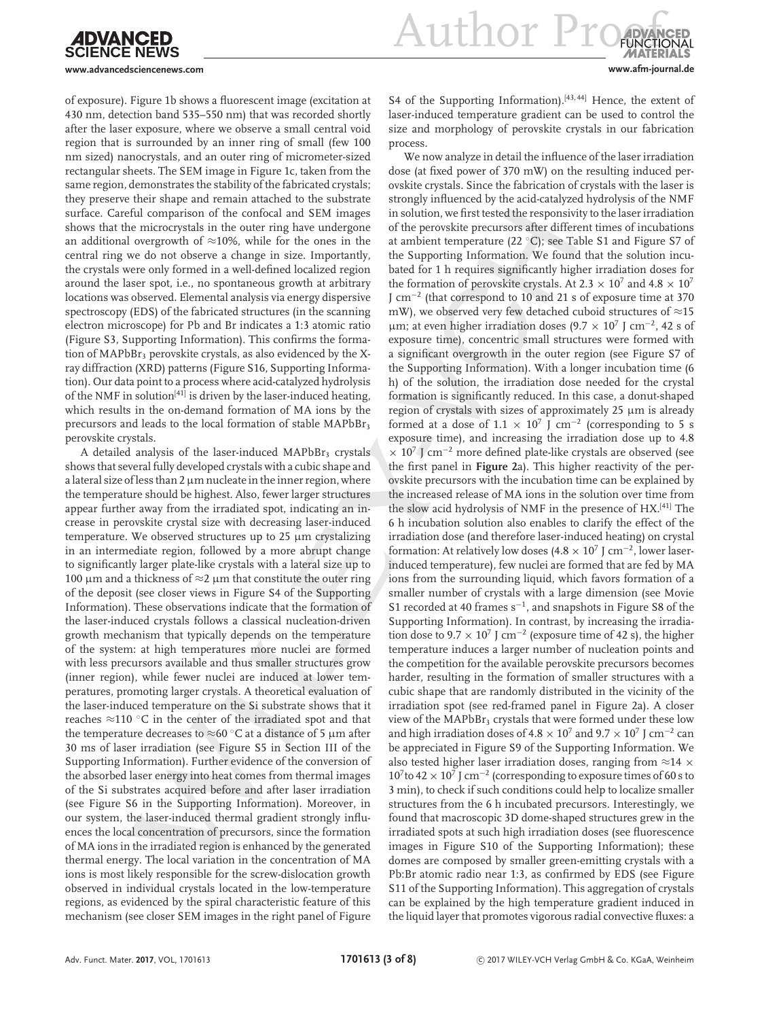**Author Pro** 

**www.advancedsciencenews.com www.afm-journal.de**

of exposure). Figure 1b shows a fluorescent image (excitation at 430 nm, detection band 535–550 nm) that was recorded shortly after the laser exposure, where we observe a small central void region that is surrounded by an inner ring of small (few 100 nm sized) nanocrystals, and an outer ring of micrometer-sized rectangular sheets. The SEM image in Figure 1c, taken from the same region, demonstrates the stability of the fabricated crystals; they preserve their shape and remain attached to the substrate surface. Careful comparison of the confocal and SEM images shows that the microcrystals in the outer ring have undergone an additional overgrowth of  $\approx$ 10%, while for the ones in the central ring we do not observe a change in size. Importantly, the crystals were only formed in a well-defined localized region around the laser spot, i.e., no spontaneous growth at arbitrary locations was observed. Elemental analysis via energy dispersive spectroscopy (EDS) of the fabricated structures (in the scanning electron microscope) for Pb and Br indicates a 1:3 atomic ratio (Figure S3, Supporting Information). This confirms the formation of MAPbBr<sub>3</sub> perovskite crystals, as also evidenced by the Xray diffraction (XRD) patterns (Figure S16, Supporting Information). Our data point to a process where acid-catalyzed hydrolysis of the NMF in solution<sup>[41]</sup> is driven by the laser-induced heating, which results in the on-demand formation of MA ions by the precursors and leads to the local formation of stable MAPbBr<sub>3</sub> perovskite crystals.

A detailed analysis of the laser-induced  $MAPbBr<sub>3</sub>$  crystals shows that several fully developed crystals with a cubic shape and a lateral size of less than  $2 \mu m$  nucleate in the inner region, where the temperature should be highest. Also, fewer larger structures appear further away from the irradiated spot, indicating an increase in perovskite crystal size with decreasing laser-induced temperature. We observed structures up to  $25 \mu m$  crystalizing in an intermediate region, followed by a more abrupt change to significantly larger plate-like crystals with a lateral size up to 100 μm and a thickness of  $\approx$ 2 μm that constitute the outer ring of the deposit (see closer views in Figure S4 of the Supporting Information). These observations indicate that the formation of the laser-induced crystals follows a classical nucleation-driven growth mechanism that typically depends on the temperature of the system: at high temperatures more nuclei are formed with less precursors available and thus smaller structures grow (inner region), while fewer nuclei are induced at lower temperatures, promoting larger crystals. A theoretical evaluation of the laser-induced temperature on the Si substrate shows that it reaches  $\approx$ 110 °C in the center of the irradiated spot and that the temperature decreases to  $\approx$ 60 °C at a distance of 5 um after 30 ms of laser irradiation (see Figure S5 in Section III of the Supporting Information). Further evidence of the conversion of the absorbed laser energy into heat comes from thermal images of the Si substrates acquired before and after laser irradiation (see Figure S6 in the Supporting Information). Moreover, in our system, the laser-induced thermal gradient strongly influences the local concentration of precursors, since the formation of MA ions in the irradiated region is enhanced by the generated thermal energy. The local variation in the concentration of MA ions is most likely responsible for the screw-dislocation growth observed in individual crystals located in the low-temperature regions, as evidenced by the spiral characteristic feature of this mechanism (see closer SEM images in the right panel of Figure

S4 of the Supporting Information).<sup>[43, 44]</sup> Hence, the extent of laser-induced temperature gradient can be used to control the size and morphology of perovskite crystals in our fabrication process.

We now analyze in detail the influence of the laser irradiation dose (at fixed power of 370 mW) on the resulting induced perovskite crystals. Since the fabrication of crystals with the laser is strongly influenced by the acid-catalyzed hydrolysis of the NMF in solution, we first tested the responsivity to the laser irradiation of the perovskite precursors after different times of incubations at ambient temperature (22 ◦C); see Table S1 and Figure S7 of the Supporting Information. We found that the solution incubated for 1 h requires significantly higher irradiation doses for the formation of perovskite crystals. At 2.3  $\times$  10<sup>7</sup> and 4.8  $\times$  10<sup>7</sup> J cm<sup>−</sup><sup>2</sup> (that correspond to 10 and 21 s of exposure time at 370 mW), we observed very few detached cuboid structures of  $\approx$ 15 µm; at even higher irradiation doses (9.7 ×  $10^7$  J cm<sup>-2</sup>, 42 s of exposure time), concentric small structures were formed with a significant overgrowth in the outer region (see Figure S7 of the Supporting Information). With a longer incubation time (6 h) of the solution, the irradiation dose needed for the crystal formation is significantly reduced. In this case, a donut-shaped region of crystals with sizes of approximately 25 µm is already formed at a dose of  $1.1 \times 10^7$  J cm<sup>-2</sup> (corresponding to 5 s exposure time), and increasing the irradiation dose up to 4.8 × 10<sup>7</sup> J cm<sup>−</sup><sup>2</sup> more defined plate-like crystals are observed (see the first panel in **Figure 2**a). This higher reactivity of the perovskite precursors with the incubation time can be explained by the increased release of MA ions in the solution over time from the slow acid hydrolysis of NMF in the presence of HX.[41] The 6 h incubation solution also enables to clarify the effect of the irradiation dose (and therefore laser-induced heating) on crystal formation: At relatively low doses (4.8  $\times$  10<sup>7</sup> J cm<sup>-2</sup>, lower laserinduced temperature), few nuclei are formed that are fed by MA ions from the surrounding liquid, which favors formation of a smaller number of crystals with a large dimension (see Movie S1 recorded at 40 frames s<sup>-1</sup>, and snapshots in Figure S8 of the Supporting Information). In contrast, by increasing the irradiation dose to 9.7  $\times$  10<sup>7</sup> J cm<sup>-2</sup> (exposure time of 42 s), the higher temperature induces a larger number of nucleation points and the competition for the available perovskite precursors becomes harder, resulting in the formation of smaller structures with a cubic shape that are randomly distributed in the vicinity of the irradiation spot (see red-framed panel in Figure 2a). A closer view of the MAPbBr<sub>3</sub> crystals that were formed under these low and high irradiation doses of 4.8  $\times$  10<sup>7</sup> and 9.7  $\times$  10<sup>7</sup> J cm<sup>-2</sup> can be appreciated in Figure S9 of the Supporting Information. We also tested higher laser irradiation doses, ranging from  $\approx$ 14  $\times$  $10^{7}$  to 42 ×  $10^{7}$  J cm<sup>-2</sup> (corresponding to exposure times of 60 s to 3 min), to check if such conditions could help to localize smaller structures from the 6 h incubated precursors. Interestingly, we found that macroscopic 3D dome-shaped structures grew in the irradiated spots at such high irradiation doses (see fluorescence images in Figure S10 of the Supporting Information); these domes are composed by smaller green-emitting crystals with a Pb:Br atomic radio near 1:3, as confirmed by EDS (see Figure S11 of the Supporting Information). This aggregation of crystals can be explained by the high temperature gradient induced in the liquid layer that promotes vigorous radial convective fluxes: a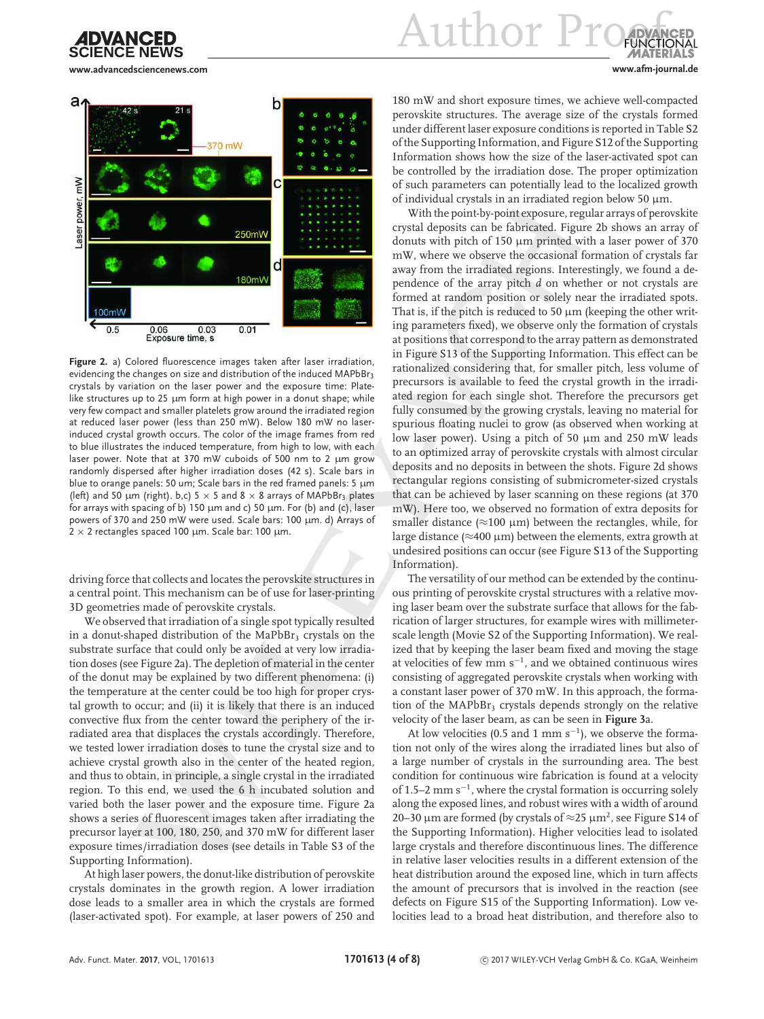

Author Pr

**www.advancedsciencenews.com www.afm-journal.de**



**Figure 2.** a) Colored fluorescence images taken after laser irradiation, evidencing the changes on size and distribution of the induced MAPbBr3 crystals by variation on the laser power and the exposure time: Platelike structures up to 25 µm form at high power in a donut shape; while very few compact and smaller platelets grow around the irradiated region at reduced laser power (less than 250 mW). Below 180 mW no laserinduced crystal growth occurs. The color of the image frames from red to blue illustrates the induced temperature, from high to low, with each laser power. Note that at 370 mW cuboids of 500 nm to 2 µm grow randomly dispersed after higher irradiation doses (42 s). Scale bars in blue to orange panels: 50 um; Scale bars in the red framed panels: 5 µm (left) and 50  $\mu$ m (right). b,c) 5  $\times$  5 and 8  $\times$  8 arrays of MAPbBr<sub>3</sub> plates for arrays with spacing of b) 150 µm and c) 50 µm. For (b) and (c), laser powers of 370 and 250 mW were used. Scale bars: 100 µm. d) Arrays of  $2 \times 2$  rectangles spaced 100 µm. Scale bar: 100 µm.

driving force that collects and locates the perovskite structures in a central point. This mechanism can be of use for laser-printing 3D geometries made of perovskite crystals.

We observed that irradiation of a single spot typically resulted in a donut-shaped distribution of the MaPbBr<sub>3</sub> crystals on the substrate surface that could only be avoided at very low irradiation doses (see Figure 2a). The depletion of material in the center of the donut may be explained by two different phenomena: (i) the temperature at the center could be too high for proper crystal growth to occur; and (ii) it is likely that there is an induced convective flux from the center toward the periphery of the irradiated area that displaces the crystals accordingly. Therefore, we tested lower irradiation doses to tune the crystal size and to achieve crystal growth also in the center of the heated region, and thus to obtain, in principle, a single crystal in the irradiated region. To this end, we used the 6 h incubated solution and varied both the laser power and the exposure time. Figure 2a shows a series of fluorescent images taken after irradiating the precursor layer at 100, 180, 250, and 370 mW for different laser exposure times/irradiation doses (see details in Table S3 of the Supporting Information).

At high laser powers, the donut-like distribution of perovskite crystals dominates in the growth region. A lower irradiation dose leads to a smaller area in which the crystals are formed (laser-activated spot). For example, at laser powers of 250 and

180 mW and short exposure times, we achieve well-compacted perovskite structures. The average size of the crystals formed under different laser exposure conditions is reported in Table S2 of the Supporting Information, and Figure S12 of the Supporting Information shows how the size of the laser-activated spot can be controlled by the irradiation dose. The proper optimization of such parameters can potentially lead to the localized growth of individual crystals in an irradiated region below 50  $\mu$ m.

With the point-by-point exposure, regular arrays of perovskite crystal deposits can be fabricated. Figure 2b shows an array of donuts with pitch of 150  $\mu$ m printed with a laser power of 370 mW, where we observe the occasional formation of crystals far away from the irradiated regions. Interestingly, we found a dependence of the array pitch *d* on whether or not crystals are formed at random position or solely near the irradiated spots. That is, if the pitch is reduced to 50  $\mu$ m (keeping the other writing parameters fixed), we observe only the formation of crystals at positions that correspond to the array pattern as demonstrated in Figure S13 of the Supporting Information. This effect can be rationalized considering that, for smaller pitch, less volume of precursors is available to feed the crystal growth in the irradiated region for each single shot. Therefore the precursors get fully consumed by the growing crystals, leaving no material for spurious floating nuclei to grow (as observed when working at low laser power). Using a pitch of 50  $\mu$ m and 250 mW leads to an optimized array of perovskite crystals with almost circular deposits and no deposits in between the shots. Figure 2d shows rectangular regions consisting of submicrometer-sized crystals that can be achieved by laser scanning on these regions (at 370 mW). Here too, we observed no formation of extra deposits for smaller distance ( $\approx$ 100 µm) between the rectangles, while, for large distance ( $\approx$ 400 µm) between the elements, extra growth at undesired positions can occur (see Figure S13 of the Supporting Information).

The versatility of our method can be extended by the continuous printing of perovskite crystal structures with a relative moving laser beam over the substrate surface that allows for the fabrication of larger structures, for example wires with millimeterscale length (Movie S2 of the Supporting Information). We realized that by keeping the laser beam fixed and moving the stage at velocities of few mm s<sup>−</sup><sup>1</sup> , and we obtained continuous wires consisting of aggregated perovskite crystals when working with a constant laser power of 370 mW. In this approach, the formation of the MAPbBr<sub>3</sub> crystals depends strongly on the relative velocity of the laser beam, as can be seen in **Figure 3**a.

At low velocities (0.5 and 1 mm  $s^{-1}$ ), we observe the formation not only of the wires along the irradiated lines but also of a large number of crystals in the surrounding area. The best condition for continuous wire fabrication is found at a velocity of 1.5–2 mm s<sup>-1</sup>, where the crystal formation is occurring solely along the exposed lines, and robust wires with a width of around 20–30  $\mu$ m are formed (by crystals of  $\approx$ 25  $\mu$ m<sup>2</sup>, see Figure S14 of the Supporting Information). Higher velocities lead to isolated large crystals and therefore discontinuous lines. The difference in relative laser velocities results in a different extension of the heat distribution around the exposed line, which in turn affects the amount of precursors that is involved in the reaction (see defects on Figure S15 of the Supporting Information). Low velocities lead to a broad heat distribution, and therefore also to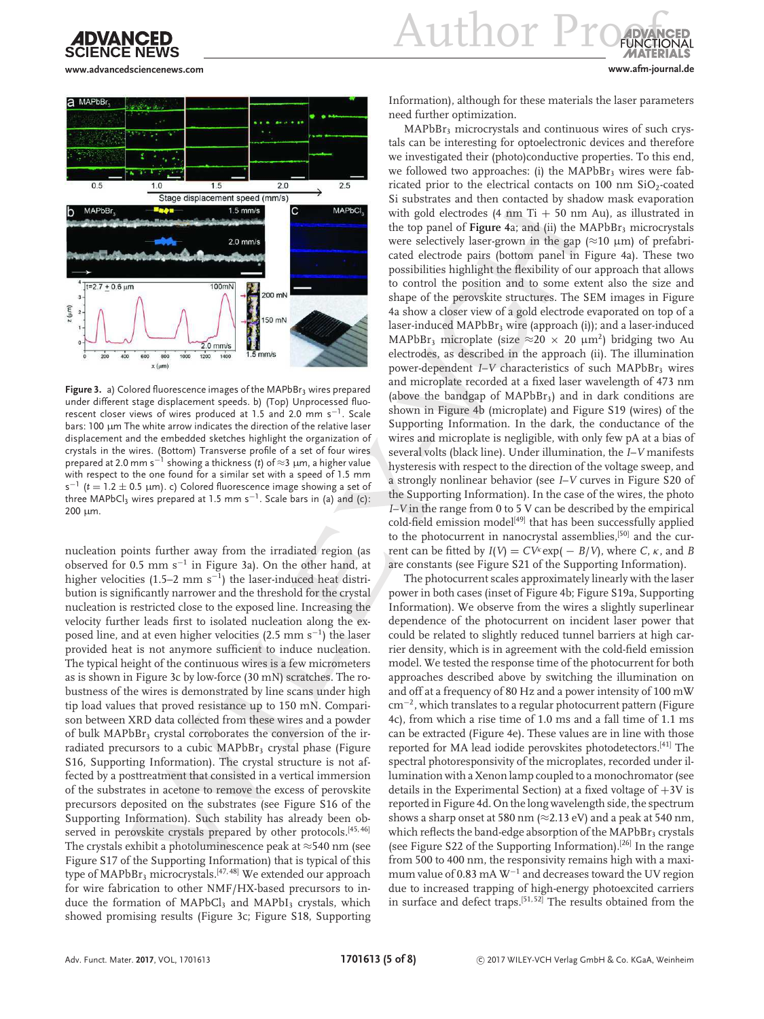

 $u$ <sub>11</sub>thor  $Pr$ 

**www.advancedsciencenews.com www.afm-journal.de**



Figure 3. a) Colored fluorescence images of the MAPbBr<sub>3</sub> wires prepared under different stage displacement speeds. b) (Top) Unprocessed fluorescent closer views of wires produced at 1.5 and 2.0 mm s<sup>-1</sup>. Scale bars: 100 µm The white arrow indicates the direction of the relative laser displacement and the embedded sketches highlight the organization of crystals in the wires. (Bottom) Transverse profile of a set of four wires prepared at 2.0 mm s−<sup>1</sup> showing a thickness (*t*) of ≈3 µm, a higher value with respect to the one found for a similar set with a speed of 1.5 mm  $s^{-1}$  ( $t = 1.2 \pm 0.5$   $\mu$ m). c) Colored fluorescence image showing a set of three MAPbCl3 wires prepared at 1.5 mm s<sup> $-1$ </sup>. Scale bars in (a) and (c): 200 µm.

nucleation points further away from the irradiated region (as observed for 0.5 mm s<sup>−</sup><sup>1</sup> in Figure 3a). On the other hand, at higher velocities (1.5–2 mm s<sup>-1</sup>) the laser-induced heat distribution is significantly narrower and the threshold for the crystal nucleation is restricted close to the exposed line. Increasing the velocity further leads first to isolated nucleation along the exposed line, and at even higher velocities (2.5 mm s<sup>-1</sup>) the laser provided heat is not anymore sufficient to induce nucleation. The typical height of the continuous wires is a few micrometers as is shown in Figure 3c by low-force (30 mN) scratches. The robustness of the wires is demonstrated by line scans under high tip load values that proved resistance up to 150 mN. Comparison between XRD data collected from these wires and a powder of bulk MAPbBr<sub>3</sub> crystal corroborates the conversion of the irradiated precursors to a cubic  $MAPbBr<sub>3</sub>$  crystal phase (Figure S16, Supporting Information). The crystal structure is not affected by a posttreatment that consisted in a vertical immersion of the substrates in acetone to remove the excess of perovskite precursors deposited on the substrates (see Figure S16 of the Supporting Information). Such stability has already been observed in perovskite crystals prepared by other protocols.<sup>[45,46]</sup> The crystals exhibit a photoluminescence peak at ≈540 nm (see Figure S17 of the Supporting Information) that is typical of this type of MAPbBr<sub>3</sub> microcrystals.<sup>[47, 48]</sup> We extended our approach for wire fabrication to other NMF/HX-based precursors to induce the formation of  $MAPbCl<sub>3</sub>$  and  $MAPbI<sub>3</sub>$  crystals, which showed promising results (Figure 3c; Figure S18, Supporting

Information), although for these materials the laser parameters need further optimization.

MAPbBr<sub>3</sub> microcrystals and continuous wires of such crystals can be interesting for optoelectronic devices and therefore we investigated their (photo)conductive properties. To this end, we followed two approaches: (i) the  $MAPbBr<sub>3</sub>$  wires were fabricated prior to the electrical contacts on 100 nm  $SiO<sub>2</sub>$ -coated Si substrates and then contacted by shadow mask evaporation with gold electrodes (4 nm Ti  $+$  50 nm Au), as illustrated in the top panel of **Figure 4**a; and (ii) the  $MAPbBr_3$  microcrystals were selectively laser-grown in the gap  $(\approx 10 \mu m)$  of prefabricated electrode pairs (bottom panel in Figure 4a). These two possibilities highlight the flexibility of our approach that allows to control the position and to some extent also the size and shape of the perovskite structures. The SEM images in Figure 4a show a closer view of a gold electrode evaporated on top of a laser-induced MAPbBr<sub>3</sub> wire (approach (i)); and a laser-induced MAPbBr<sub>3</sub> microplate (size  $\approx$ 20 × 20  $\mu$ m<sup>2</sup>) bridging two Au electrodes, as described in the approach (ii). The illumination power-dependent *I*–*V* characteristics of such MAPbBr<sub>3</sub> wires and microplate recorded at a fixed laser wavelength of 473 nm (above the bandgap of MAPbBr3) and in dark conditions are shown in Figure 4b (microplate) and Figure S19 (wires) of the Supporting Information. In the dark, the conductance of the wires and microplate is negligible, with only few pA at a bias of several volts (black line). Under illumination, the *I*–*V* manifests hysteresis with respect to the direction of the voltage sweep, and a strongly nonlinear behavior (see *I*–*V* curves in Figure S20 of the Supporting Information). In the case of the wires, the photo *I*–*V* in the range from 0 to 5 V can be described by the empirical  $cold$ -field emission model<sup>[49]</sup> that has been successfully applied to the photocurrent in nanocrystal assemblies,<sup>[50]</sup> and the current can be fitted by  $I(V) = CV^k \exp(-B/V)$ , where *C*,  $\kappa$ , and *B* are constants (see Figure S21 of the Supporting Information).

The photocurrent scales approximately linearly with the laser power in both cases (inset of Figure 4b; Figure S19a, Supporting Information). We observe from the wires a slightly superlinear dependence of the photocurrent on incident laser power that could be related to slightly reduced tunnel barriers at high carrier density, which is in agreement with the cold-field emission model. We tested the response time of the photocurrent for both approaches described above by switching the illumination on and off at a frequency of 80 Hz and a power intensity of 100 mW cm<sup>−</sup><sup>2</sup> , which translates to a regular photocurrent pattern (Figure 4c), from which a rise time of 1.0 ms and a fall time of 1.1 ms can be extracted (Figure 4e). These values are in line with those reported for MA lead iodide perovskites photodetectors.[41] The spectral photoresponsivity of the microplates, recorded under illumination with a Xenon lamp coupled to a monochromator (see details in the Experimental Section) at a fixed voltage of  $+3V$  is reported in Figure 4d. On the long wavelength side, the spectrum shows a sharp onset at 580 nm ( $\approx$ 2.13 eV) and a peak at 540 nm, which reflects the band-edge absorption of the MAPbBr<sub>3</sub> crystals (see Figure S22 of the Supporting Information).[26] In the range from 500 to 400 nm, the responsivity remains high with a maximum value of 0.83 mA W<sup>-1</sup> and decreases toward the UV region due to increased trapping of high-energy photoexcited carriers in surface and defect traps.[51, 52] The results obtained from the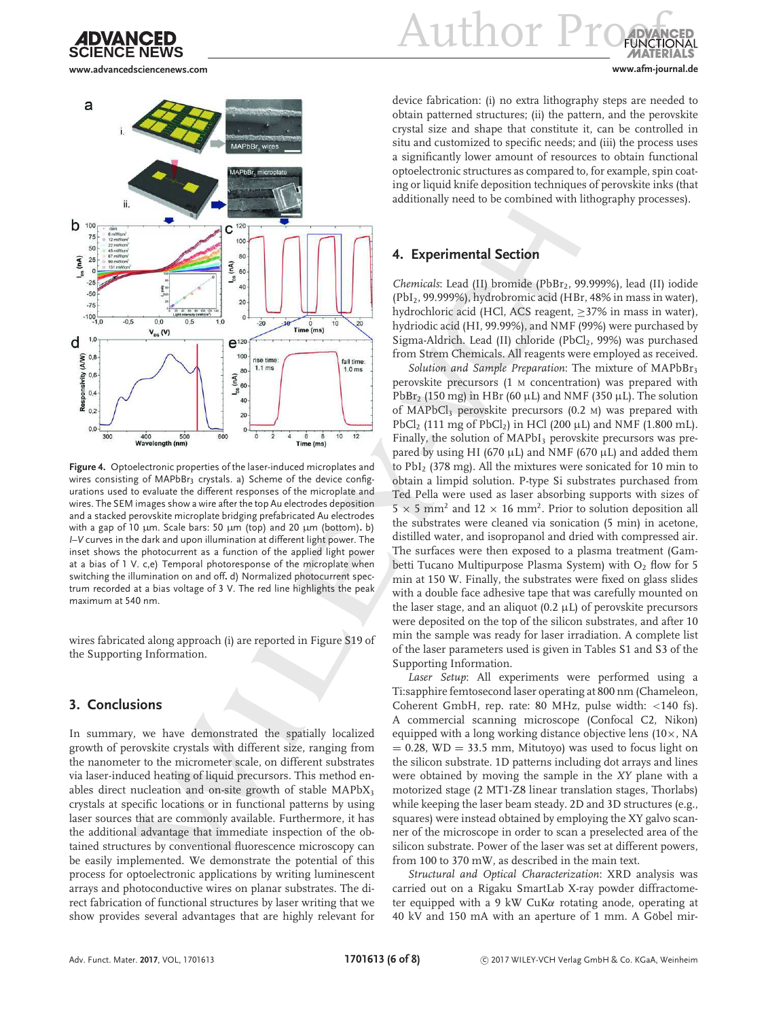

**www.advancedsciencenews.com www.afm-journal.de**



**Figure 4.** Optoelectronic properties of the laser-induced microplates and wires consisting of MAPbBr<sub>3</sub> crystals. a) Scheme of the device configurations used to evaluate the different responses of the microplate and wires. The SEM images show a wire after the top Au electrodes deposition and a stacked perovskite microplate bridging prefabricated Au electrodes with a gap of 10 µm. Scale bars: 50 µm (top) and 20 µm (bottom)**.** b) *I*–*V* curves in the dark and upon illumination at different light power. The inset shows the photocurrent as a function of the applied light power at a bias of 1 V. c,e) Temporal photoresponse of the microplate when switching the illumination on and off**.** d) Normalized photocurrent spectrum recorded at a bias voltage of 3 V. The red line highlights the peak maximum at 540 nm.

wires fabricated along approach (i) are reported in Figure S19 of the Supporting Information.

### **3. Conclusions**

In summary, we have demonstrated the spatially localized growth of perovskite crystals with different size, ranging from the nanometer to the micrometer scale, on different substrates via laser-induced heating of liquid precursors. This method enables direct nucleation and on-site growth of stable  $MAPbX<sub>3</sub>$ crystals at specific locations or in functional patterns by using laser sources that are commonly available. Furthermore, it has the additional advantage that immediate inspection of the obtained structures by conventional fluorescence microscopy can be easily implemented. We demonstrate the potential of this process for optoelectronic applications by writing luminescent arrays and photoconductive wires on planar substrates. The direct fabrication of functional structures by laser writing that we show provides several advantages that are highly relevant for

Author Pr

device fabrication: (i) no extra lithography steps are needed to obtain patterned structures; (ii) the pattern, and the perovskite crystal size and shape that constitute it, can be controlled in situ and customized to specific needs; and (iii) the process uses a significantly lower amount of resources to obtain functional optoelectronic structures as compared to, for example, spin coating or liquid knife deposition techniques of perovskite inks (that additionally need to be combined with lithography processes).

### **4. Experimental Section**

*Chemicals*: Lead (II) bromide (PbBr<sub>2</sub>, 99.999%), lead (II) iodide (PbI2, 99.999%), hydrobromic acid (HBr, 48% in mass in water), hydrochloric acid (HCl, ACS reagent,  $\geq$ 37% in mass in water), hydriodic acid (HI, 99.99%), and NMF (99%) were purchased by Sigma-Aldrich. Lead (II) chloride (PbCl<sub>2</sub>, 99%) was purchased from Strem Chemicals. All reagents were employed as received.

Solution and Sample Preparation: The mixture of MAPbBr<sub>3</sub> perovskite precursors (1 M concentration) was prepared with PbBr<sub>2</sub> (150 mg) in HBr (60  $\mu$ L) and NMF (350  $\mu$ L). The solution of MAPbCl<sub>3</sub> perovskite precursors  $(0.2 \text{ M})$  was prepared with PbCl<sub>2</sub> (111 mg of PbCl<sub>2</sub>) in HCl (200  $\mu$ L) and NMF (1.800 mL). Finally, the solution of  $MAPbI<sub>3</sub>$  perovskite precursors was prepared by using HI (670  $\mu$ L) and NMF (670  $\mu$ L) and added them to PbI<sup>2</sup> (378 mg). All the mixtures were sonicated for 10 min to obtain a limpid solution. P-type Si substrates purchased from Ted Pella were used as laser absorbing supports with sizes of  $5 \times 5$  mm<sup>2</sup> and  $12 \times 16$  mm<sup>2</sup>. Prior to solution deposition all the substrates were cleaned via sonication (5 min) in acetone, distilled water, and isopropanol and dried with compressed air. The surfaces were then exposed to a plasma treatment (Gambetti Tucano Multipurpose Plasma System) with  $O<sub>2</sub>$  flow for 5 min at 150 W. Finally, the substrates were fixed on glass slides with a double face adhesive tape that was carefully mounted on the laser stage, and an aliquot (0.2  $\mu$ L) of perovskite precursors were deposited on the top of the silicon substrates, and after 10 min the sample was ready for laser irradiation. A complete list of the laser parameters used is given in Tables S1 and S3 of the Supporting Information.

*Laser Setup*: All experiments were performed using a Ti:sapphire femtosecond laser operating at 800 nm (Chameleon, Coherent GmbH, rep. rate: 80 MHz, pulse width: <140 fs). A commercial scanning microscope (Confocal C2, Nikon) equipped with a long working distance objective lens (10×, NA  $= 0.28$ , WD  $= 33.5$  mm, Mitutoyo) was used to focus light on the silicon substrate. 1D patterns including dot arrays and lines were obtained by moving the sample in the *XY* plane with a motorized stage (2 MT1-Z8 linear translation stages, Thorlabs) while keeping the laser beam steady. 2D and 3D structures (e.g., squares) were instead obtained by employing the XY galvo scanner of the microscope in order to scan a preselected area of the silicon substrate. Power of the laser was set at different powers, from 100 to 370 mW, as described in the main text.

*Structural and Optical Characterization*: XRD analysis was carried out on a Rigaku SmartLab X-ray powder diffractometer equipped with a 9 kW CuKα rotating anode, operating at 40 kV and 150 mA with an aperture of 1 mm. A Göbel mir-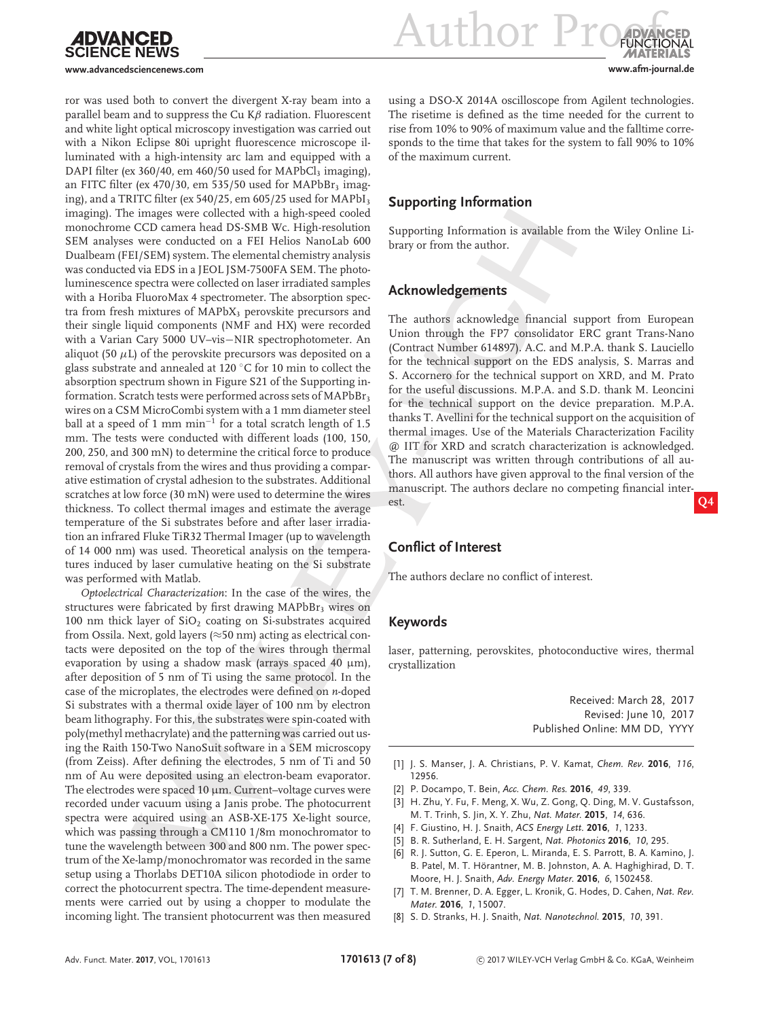

**Author Pro www.advancedsciencenews.com www.afm-journal.de**

ror was used both to convert the divergent X-ray beam into a parallel beam and to suppress the Cu  $K\beta$  radiation. Fluorescent and white light optical microscopy investigation was carried out with a Nikon Eclipse 80i upright fluorescence microscope illuminated with a high-intensity arc lam and equipped with a DAPI filter (ex 360/40, em 460/50 used for MAPbCl<sub>3</sub> imaging), an FITC filter (ex 470/30, em 535/50 used for MAPbBr<sub>3</sub> imaging), and a TRITC filter (ex 540/25, em 605/25 used for MAPbI<sub>3</sub> imaging). The images were collected with a high-speed cooled monochrome CCD camera head DS-SMB Wc. High-resolution SEM analyses were conducted on a FEI Helios NanoLab 600 Dualbeam (FEI/SEM) system. The elemental chemistry analysis was conducted via EDS in a JEOL JSM-7500FA SEM. The photoluminescence spectra were collected on laser irradiated samples with a Horiba FluoroMax 4 spectrometer. The absorption spectra from fresh mixtures of MAPbX<sub>3</sub> perovskite precursors and their single liquid components (NMF and HX) were recorded with a Varian Cary 5000 UV–vis−NIR spectrophotometer. An aliquot (50  $\mu$ L) of the perovskite precursors was deposited on a glass substrate and annealed at 120 ◦C for 10 min to collect the absorption spectrum shown in Figure S21 of the Supporting information. Scratch tests were performed across sets of MAPbBr<sub>3</sub> wires on a CSM MicroCombi system with a 1 mm diameter steel ball at a speed of 1 mm min<sup>−</sup><sup>1</sup> for a total scratch length of 1.5 mm. The tests were conducted with different loads (100, 150, 200, 250, and 300 mN) to determine the critical force to produce removal of crystals from the wires and thus providing a comparative estimation of crystal adhesion to the substrates. Additional scratches at low force (30 mN) were used to determine the wires thickness. To collect thermal images and estimate the average temperature of the Si substrates before and after laser irradiation an infrared Fluke TiR32 Thermal Imager (up to wavelength of 14 000 nm) was used. Theoretical analysis on the temperatures induced by laser cumulative heating on the Si substrate was performed with Matlab.

*Optoelectrical Characterization*: In the case of the wires, the structures were fabricated by first drawing MAPbBr<sub>3</sub> wires on 100 nm thick layer of  $SiO<sub>2</sub>$  coating on Si-substrates acquired from Ossila. Next, gold layers ( $\approx$ 50 nm) acting as electrical contacts were deposited on the top of the wires through thermal evaporation by using a shadow mask (arrays spaced 40  $\mu$ m), after deposition of 5 nm of Ti using the same protocol. In the case of the microplates, the electrodes were defined on *n*-doped Si substrates with a thermal oxide layer of 100 nm by electron beam lithography. For this, the substrates were spin-coated with poly(methyl methacrylate) and the patterning was carried out using the Raith 150-Two NanoSuit software in a SEM microscopy (from Zeiss). After defining the electrodes, 5 nm of Ti and 50 nm of Au were deposited using an electron-beam evaporator. The electrodes were spaced 10 um. Current-voltage curves were recorded under vacuum using a Janis probe. The photocurrent spectra were acquired using an ASB-XE-175 Xe-light source, which was passing through a CM110 1/8m monochromator to tune the wavelength between 300 and 800 nm. The power spectrum of the Xe-lamp/monochromator was recorded in the same setup using a Thorlabs DET10A silicon photodiode in order to correct the photocurrent spectra. The time-dependent measurements were carried out by using a chopper to modulate the incoming light. The transient photocurrent was then measured

using a DSO-X 2014A oscilloscope from Agilent technologies. The risetime is defined as the time needed for the current to rise from 10% to 90% of maximum value and the falltime corresponds to the time that takes for the system to fall 90% to 10% of the maximum current.

# **Supporting Information**

Supporting Information is available from the Wiley Online Library or from the author.

## **Acknowledgements**

The authors acknowledge financial support from European Union through the FP7 consolidator ERC grant Trans-Nano (Contract Number 614897). A.C. and M.P.A. thank S. Lauciello for the technical support on the EDS analysis, S. Marras and S. Accornero for the technical support on XRD, and M. Prato for the useful discussions. M.P.A. and S.D. thank M. Leoncini for the technical support on the device preparation. M.P.A. thanks T. Avellini for the technical support on the acquisition of thermal images. Use of the Materials Characterization Facility @ IIT for XRD and scratch characterization is acknowledged. The manuscript was written through contributions of all authors. All authors have given approval to the final version of the manuscript. The authors declare no competing financial interest. **Q4**

## **Conflict of Interest**

The authors declare no conflict of interest.

### **Keywords**

laser, patterning, perovskites, photoconductive wires, thermal crystallization

> Received: March 28, 2017 Revised: June 10, 2017 Published Online: MM DD, YYYY

- [1] J. S. Manser, J. A. Christians, P. V. Kamat, *Chem. Rev.* **2016**, *116*, 12956.
- [2] P. Docampo, T. Bein, *Acc. Chem. Res.* **2016**, *49*, 339.
- [3] H. Zhu, Y. Fu, F. Meng, X. Wu, Z. Gong, Q. Ding, M. V. Gustafsson, M. T. Trinh, S. Jin, X. Y. Zhu, *Nat. Mater.* **2015**, *14*, 636.
- [4] F. Giustino, H. J. Snaith, *ACS Energy Lett.* **2016**, *1*, 1233.
- [5] B. R. Sutherland, E. H. Sargent, *Nat. Photonics* **2016**, *10*, 295.
- [6] R. J. Sutton, G. E. Eperon, L. Miranda, E. S. Parrott, B. A. Kamino, J. B. Patel, M. T. Hörantner, M. B. Johnston, A. A. Haghighirad, D. T. Moore, H. J. Snaith, *Adv. Energy Mater.* **2016**, *6*, 1502458.
- [7] T. M. Brenner, D. A. Egger, L. Kronik, G. Hodes, D. Cahen, *Nat. Rev. Mater.* **2016**, *1*, 15007.
- [8] S. D. Stranks, H. J. Snaith, *Nat. Nanotechnol.* **2015**, *10*, 391.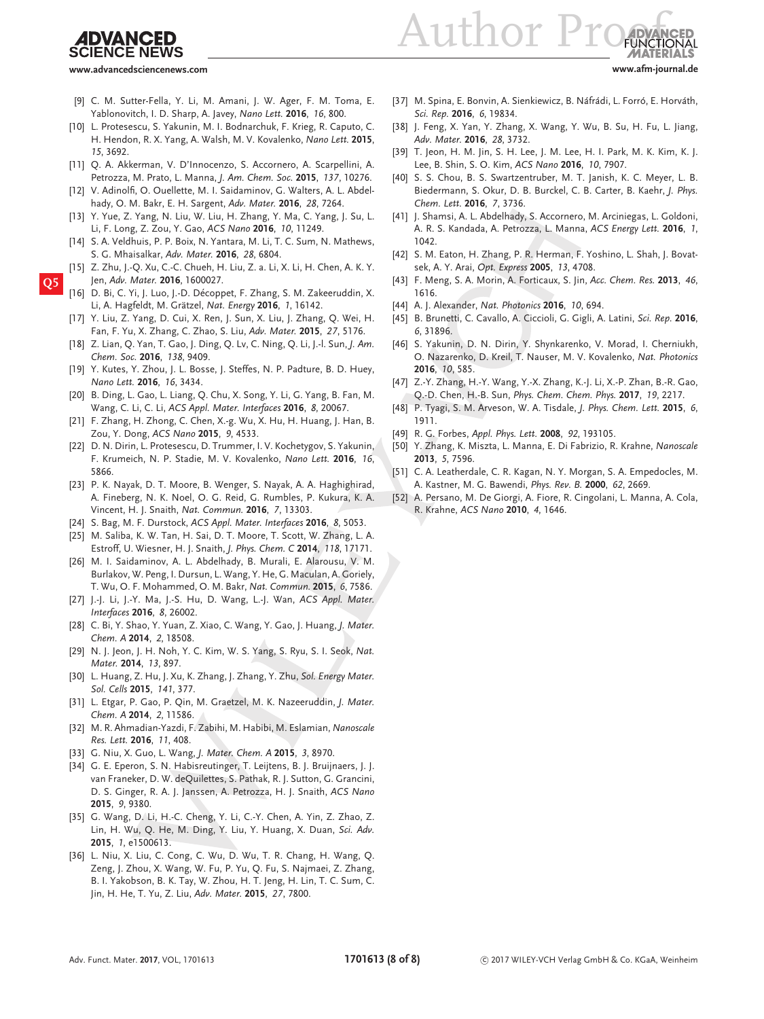# **SCIENCE NEWS**

Author  $Pr$ 

**www.advancedsciencenews.com www.afm-journal.de**

- [9] C. M. Sutter-Fella, Y. Li, M. Amani, J. W. Ager, F. M. Toma, E. Yablonovitch, I. D. Sharp, A. Javey, *Nano Lett.* **2016**, *16*, 800.
- [10] L. Protesescu, S. Yakunin, M. I. Bodnarchuk, F. Krieg, R. Caputo, C. H. Hendon, R. X. Yang, A. Walsh, M. V. Kovalenko, *Nano Lett.* **2015**, *15*, 3692.
- [11] Q. A. Akkerman, V. D'Innocenzo, S. Accornero, A. Scarpellini, A. Petrozza, M. Prato, L. Manna, *J. Am. Chem. Soc.* **2015**, *137*, 10276.
- [12] V. Adinolfi, O. Ouellette, M. I. Saidaminov, G. Walters, A. L. Abdelhady, O. M. Bakr, E. H. Sargent, *Adv. Mater.* **2016**, *28*, 7264.
- [13] Y. Yue, Z. Yang, N. Liu, W. Liu, H. Zhang, Y. Ma, C. Yang, J. Su, L. Li, F. Long, Z. Zou, Y. Gao, *ACS Nano* **2016**, *10*, 11249.
- [14] S. A. Veldhuis, P. P. Boix, N. Yantara, M. Li, T. C. Sum, N. Mathews, S. G. Mhaisalkar, *Adv. Mater.* **2016**, *28*, 6804.
- [15] Z. Zhu, J.-Q. Xu, C.-C. Chueh, H. Liu, Z. a. Li, X. Li, H. Chen, A. K. Y. **Q5** Jen, *Adv. Mater.* **2016**, 1600027.
	- D. Bi, C. Yi, J. Luo, J.-D. Décoppet, F. Zhang, S. M. Zakeeruddin, X. Li, A. Hagfeldt, M. Grätzel, *Nat. Energy* **2016**, *1*, 16142.
	- [17] Y. Liu, Z. Yang, D. Cui, X. Ren, J. Sun, X. Liu, J. Zhang, Q. Wei, H. Fan, F. Yu, X. Zhang, C. Zhao, S. Liu, *Adv. Mater.* **2015**, *27*, 5176.
	- [18] Z. Lian, Q. Yan, T. Gao, J. Ding, Q. Lv, C. Ning, Q. Li, J.-l. Sun, *J. Am. Chem. Soc.* **2016**, *138*, 9409.
	- [19] Y. Kutes, Y. Zhou, J. L. Bosse, J. Steffes, N. P. Padture, B. D. Huey, *Nano Lett.* **2016**, *16*, 3434.
	- [20] B. Ding, L. Gao, L. Liang, Q. Chu, X. Song, Y. Li, G. Yang, B. Fan, M. Wang, C. Li, C. Li, *ACS Appl. Mater. Interfaces* **2016**, *8*, 20067.
	- [21] F. Zhang, H. Zhong, C. Chen, X.-g. Wu, X. Hu, H. Huang, J. Han, B. Zou, Y. Dong, *ACS Nano* **2015**, *9*, 4533.
	- [22] D. N. Dirin, L. Protesescu, D. Trummer, I. V. Kochetygov, S. Yakunin, F. Krumeich, N. P. Stadie, M. V. Kovalenko, *Nano Lett.* **2016**, *16*, 5866.
	- [23] P. K. Nayak, D. T. Moore, B. Wenger, S. Nayak, A. A. Haghighirad, A. Fineberg, N. K. Noel, O. G. Reid, G. Rumbles, P. Kukura, K. A. Vincent, H. J. Snaith, *Nat. Commun.* **2016**, *7*, 13303.
	- [24] S. Bag, M. F. Durstock, *ACS Appl. Mater. Interfaces* **2016**, *8*, 5053.
	- [25] M. Saliba, K. W. Tan, H. Sai, D. T. Moore, T. Scott, W. Zhang, L. A. Estroff, U. Wiesner, H. J. Snaith, *J. Phys. Chem. C* **2014**, *118*, 17171.
	- [26] M. I. Saidaminov, A. L. Abdelhady, B. Murali, E. Alarousu, V. M. Burlakov, W. Peng, I. Dursun, L. Wang, Y. He, G. Maculan, A. Goriely, T. Wu, O. F. Mohammed, O. M. Bakr, *Nat. Commun.* **2015**, *6*, 7586.
	- [27] J.-J. Li, J.-Y. Ma, J.-S. Hu, D. Wang, L.-J. Wan, *ACS Appl. Mater. Interfaces* **2016**, *8*, 26002.
	- [28] C. Bi, Y. Shao, Y. Yuan, Z. Xiao, C. Wang, Y. Gao, J. Huang, *J. Mater. Chem. A* **2014**, *2*, 18508.
	- [29] N. J. Jeon, J. H. Noh, Y. C. Kim, W. S. Yang, S. Ryu, S. I. Seok, *Nat. Mater.* **2014**, *13*, 897.
	- [30] L. Huang, Z. Hu, J. Xu, K. Zhang, J. Zhang, Y. Zhu, *Sol. Energy Mater. Sol. Cells* **2015**, *141*, 377.
	- [31] L. Etgar, P. Gao, P. Qin, M. Graetzel, M. K. Nazeeruddin, *J. Mater. Chem. A* **2014**, *2*, 11586.
	- [32] M. R. Ahmadian-Yazdi, F. Zabihi, M. Habibi, M. Eslamian, *Nanoscale Res. Lett.* **2016**, *11*, 408.
	- [33] G. Niu, X. Guo, L. Wang, *J. Mater. Chem. A* **2015**, *3*, 8970.
	- [34] G. E. Eperon, S. N. Habisreutinger, T. Leijtens, B. J. Bruijnaers, J. J. van Franeker, D. W. deQuilettes, S. Pathak, R. J. Sutton, G. Grancini, D. S. Ginger, R. A. J. Janssen, A. Petrozza, H. J. Snaith, *ACS Nano* **2015**, *9*, 9380.
	- [35] G. Wang, D. Li, H.-C. Cheng, Y. Li, C.-Y. Chen, A. Yin, Z. Zhao, Z. Lin, H. Wu, Q. He, M. Ding, Y. Liu, Y. Huang, X. Duan, *Sci. Adv.* **2015**, *1*, e1500613.
	- [36] L. Niu, X. Liu, C. Cong, C. Wu, D. Wu, T. R. Chang, H. Wang, Q. Zeng, J. Zhou, X. Wang, W. Fu, P. Yu, Q. Fu, S. Najmaei, Z. Zhang, B. I. Yakobson, B. K. Tay, W. Zhou, H. T. Jeng, H. Lin, T. C. Sum, C. Jin, H. He, T. Yu, Z. Liu, *Adv. Mater.* **2015**, *27*, 7800.
- [37] M. Spina, E. Bonvin, A. Sienkiewicz, B. Náfrádi, L. Forró, E. Horváth, *Sci. Rep.* **2016**, *6*, 19834.
- [38] J. Feng, X. Yan, Y. Zhang, X. Wang, Y. Wu, B. Su, H. Fu, L. Jiang, *Adv. Mater.* **2016**, *28*, 3732.
- [39] T. Jeon, H. M. Jin, S. H. Lee, J. M. Lee, H. I. Park, M. K. Kim, K. J. Lee, B. Shin, S. O. Kim, *ACS Nano* **2016**, *10*, 7907.
- [40] S. S. Chou, B. S. Swartzentruber, M. T. Janish, K. C. Meyer, L. B. Biedermann, S. Okur, D. B. Burckel, C. B. Carter, B. Kaehr, *J. Phys. Chem. Lett.* **2016**, *7*, 3736.
- [41] J. Shamsi, A. L. Abdelhady, S. Accornero, M. Arciniegas, L. Goldoni, A. R. S. Kandada, A. Petrozza, L. Manna, *ACS Energy Lett.* **2016**, *1*, 1042.
- [42] S. M. Eaton, H. Zhang, P. R. Herman, F. Yoshino, L. Shah, J. Bovatsek, A. Y. Arai, *Opt. Express* **2005**, *13*, 4708.
- [43] F. Meng, S. A. Morin, A. Forticaux, S. Jin, *Acc. Chem. Res.* **2013**, *46*, 1616.
- [44] A. J. Alexander, *Nat. Photonics* **2016**, *10*, 694.
- [45] B. Brunetti, C. Cavallo, A. Ciccioli, G. Gigli, A. Latini, *Sci. Rep.* **2016**, *6*, 31896.
- [46] S. Yakunin, D. N. Dirin, Y. Shynkarenko, V. Morad, I. Cherniukh, O. Nazarenko, D. Kreil, T. Nauser, M. V. Kovalenko, *Nat. Photonics* **2016**, *10*, 585.
- [47] Z.-Y. Zhang, H.-Y. Wang, Y.-X. Zhang, K.-J. Li, X.-P. Zhan, B.-R. Gao, Q.-D. Chen, H.-B. Sun, *Phys. Chem. Chem. Phys.* **2017**, *19*, 2217.
- [48] P. Tyagi, S. M. Arveson, W. A. Tisdale, *J. Phys. Chem. Lett.* **2015**, *6*, 1911.
- [49] R. G. Forbes, *Appl. Phys. Lett.* **2008**, *92*, 193105.
- [50] Y. Zhang, K. Miszta, L. Manna, E. Di Fabrizio, R. Krahne, *Nanoscale* **2013**, *5*, 7596.
- [51] C. A. Leatherdale, C. R. Kagan, N. Y. Morgan, S. A. Empedocles, M. A. Kastner, M. G. Bawendi, *Phys. Rev. B.* **2000**, *62*, 2669.
- [52] A. Persano, M. De Giorgi, A. Fiore, R. Cingolani, L. Manna, A. Cola, R. Krahne, *ACS Nano* **2010**, *4*, 1646.